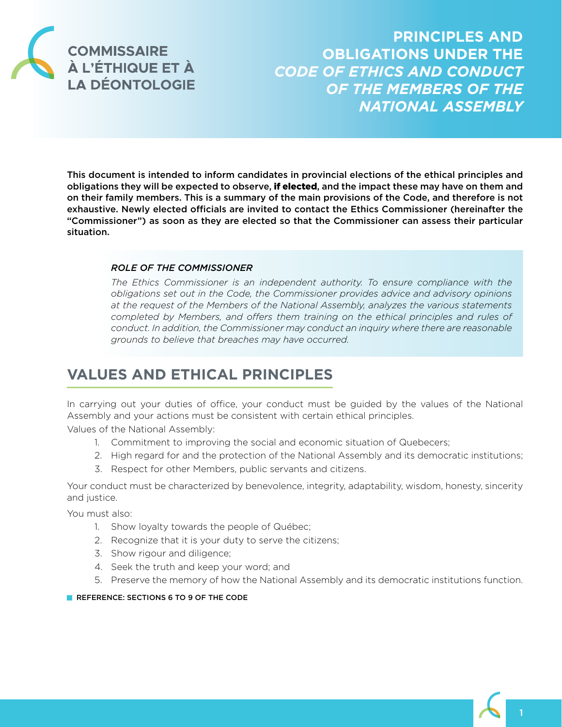

**PRINCIPLES AND OBLIGATIONS UNDER THE**  *CODE OF ETHICS AND CONDUCT OF THE MEMBERS OF THE NATIONAL ASSEMBLY*

This document is intended to inform candidates in provincial elections of the ethical principles and obligations they will be expected to observe, **if elected**, and the impact these may have on them and on their family members. This is a summary of the main provisions of the Code, and therefore is not exhaustive. Newly elected officials are invited to contact the Ethics Commissioner (hereinafter the "Commissioner") as soon as they are elected so that the Commissioner can assess their particular situation.

### *ROLE OF THE COMMISSIONER*

*The Ethics Commissioner is an independent authority. To ensure compliance with the obligations set out in the Code, the Commissioner provides advice and advisory opinions at the request of the Members of the National Assembly, analyzes the various statements completed by Members, and offers them training on the ethical principles and rules of conduct. In addition, the Commissioner may conduct an inquiry where there are reasonable grounds to believe that breaches may have occurred.*

# **VALUES AND ETHICAL PRINCIPLES**

In carrying out your duties of office, your conduct must be guided by the values of the National Assembly and your actions must be consistent with certain ethical principles.

Values of the National Assembly:

- 1. Commitment to improving the social and economic situation of Quebecers;
- 2. High regard for and the protection of the National Assembly and its democratic institutions;
- 3. Respect for other Members, public servants and citizens.

Your conduct must be characterized by benevolence, integrity, adaptability, wisdom, honesty, sincerity and justice.

You must also:

- 1. Show loyalty towards the people of Québec;
- 2. Recognize that it is your duty to serve the citizens;
- 3. Show rigour and diligence;
- 4. Seek the truth and keep your word; and
- 5. Preserve the memory of how the National Assembly and its democratic institutions function.

**REFERENCE: SECTIONS 6 TO 9 OF THE CODE**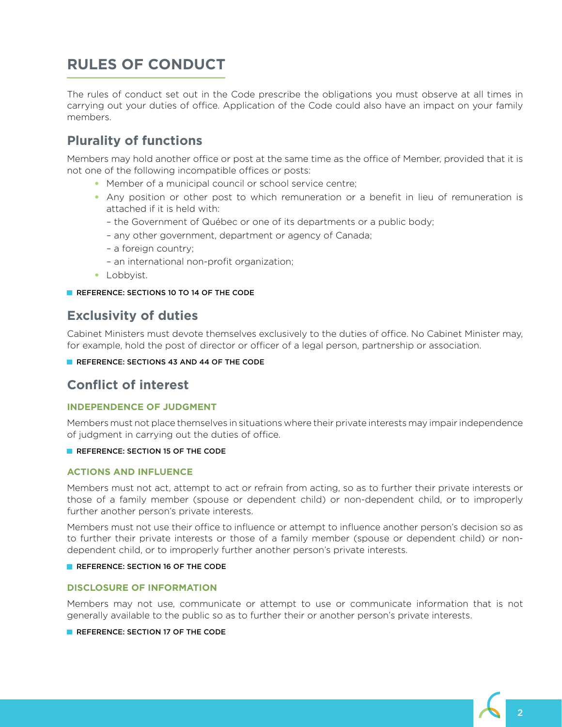# **RULES OF CONDUCT**

The rules of conduct set out in the Code prescribe the obligations you must observe at all times in carrying out your duties of office. Application of the Code could also have an impact on your family members.

# **Plurality of functions**

Members may hold another office or post at the same time as the office of Member, provided that it is not one of the following incompatible offices or posts:

- Member of a municipal council or school service centre;
- Any position or other post to which remuneration or a benefit in lieu of remuneration is attached if it is held with:
	- the Government of Québec or one of its departments or a public body;
	- any other government, department or agency of Canada;
	- a foreign country;
	- an international non-profit organization;
- Lobbyist.

**REFERENCE: SECTIONS 10 TO 14 OF THE CODE** 

# **Exclusivity of duties**

Cabinet Ministers must devote themselves exclusively to the duties of office. No Cabinet Minister may, for example, hold the post of director or officer of a legal person, partnership or association.

**REFERENCE: SECTIONS 43 AND 44 OF THE CODE** 

# **Conflict of interest**

## **INDEPENDENCE OF JUDGMENT**

Members must not place themselves in situations where their private interests may impair independence of judgment in carrying out the duties of office.

**REFERENCE: SECTION 15 OF THE CODE** 

## **ACTIONS AND INFLUENCE**

Members must not act, attempt to act or refrain from acting, so as to further their private interests or those of a family member (spouse or dependent child) or non-dependent child, or to improperly further another person's private interests.

Members must not use their office to influence or attempt to influence another person's decision so as to further their private interests or those of a family member (spouse or dependent child) or nondependent child, or to improperly further another person's private interests.

#### **REFERENCE: SECTION 16 OF THE CODE**

### **DISCLOSURE OF INFORMATION**

Members may not use, communicate or attempt to use or communicate information that is not generally available to the public so as to further their or another person's private interests.

**REFERENCE: SECTION 17 OF THE CODE** 

2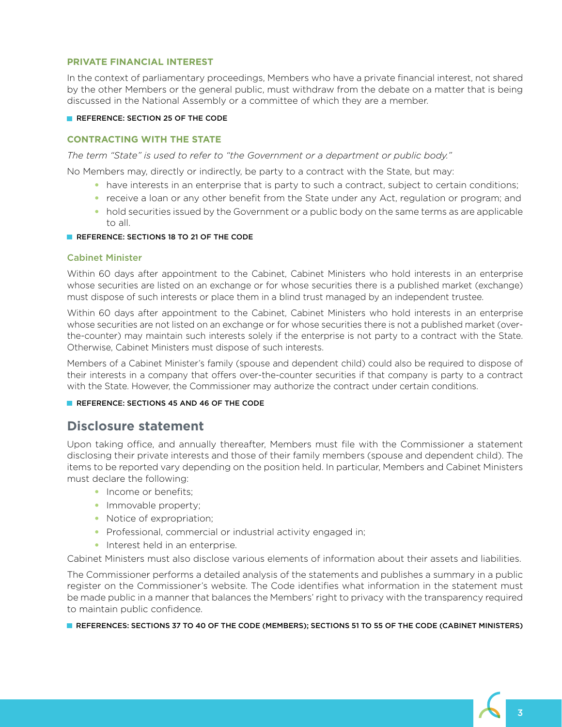### **PRIVATE FINANCIAL INTEREST**

In the context of parliamentary proceedings, Members who have a private financial interest, not shared by the other Members or the general public, must withdraw from the debate on a matter that is being discussed in the National Assembly or a committee of which they are a member.

#### **REFERENCE: SECTION 25 OF THE CODE**

#### **CONTRACTING WITH THE STATE**

*The term "State" is used to refer to "the Government or a department or public body."* 

No Members may, directly or indirectly, be party to a contract with the State, but may:

- have interests in an enterprise that is party to such a contract, subject to certain conditions;
- receive a loan or any other benefit from the State under any Act, regulation or program; and
- hold securities issued by the Government or a public body on the same terms as are applicable to all.

#### **REFERENCE: SECTIONS 18 TO 21 OF THE CODE**

#### Cabinet Minister

Within 60 days after appointment to the Cabinet, Cabinet Ministers who hold interests in an enterprise whose securities are listed on an exchange or for whose securities there is a published market (exchange) must dispose of such interests or place them in a blind trust managed by an independent trustee.

Within 60 days after appointment to the Cabinet, Cabinet Ministers who hold interests in an enterprise whose securities are not listed on an exchange or for whose securities there is not a published market (overthe-counter) may maintain such interests solely if the enterprise is not party to a contract with the State. Otherwise, Cabinet Ministers must dispose of such interests.

Members of a Cabinet Minister's family (spouse and dependent child) could also be required to dispose of their interests in a company that offers over-the-counter securities if that company is party to a contract with the State. However, the Commissioner may authorize the contract under certain conditions.

#### **REFERENCE: SECTIONS 45 AND 46 OF THE CODE**

## **Disclosure statement**

Upon taking office, and annually thereafter, Members must file with the Commissioner a statement disclosing their private interests and those of their family members (spouse and dependent child). The items to be reported vary depending on the position held. In particular, Members and Cabinet Ministers must declare the following:

- Income or benefits:
- Immovable property;
- Notice of expropriation;
- Professional, commercial or industrial activity engaged in;
- Interest held in an enterprise.

Cabinet Ministers must also disclose various elements of information about their assets and liabilities.

The Commissioner performs a detailed analysis of the statements and publishes a summary in a public register on the Commissioner's website. The Code identifies what information in the statement must be made public in a manner that balances the Members' right to privacy with the transparency required to maintain public confidence.

REFERENCES: SECTIONS 37 TO 40 OF THE CODE (MEMBERS); SECTIONS 51 TO 55 OF THE CODE (CABINET MINISTERS)